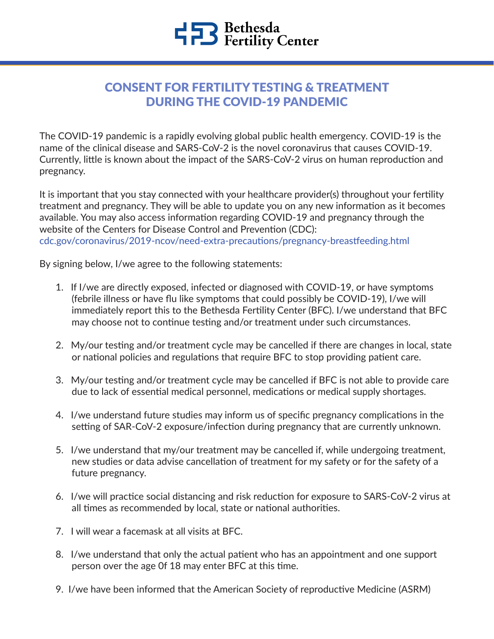## CONSENT FOR FERTILITY TESTING & TREATMENT DURING THE COVID-19 PANDEMIC

The COVID-19 pandemic is a rapidly evolving global public health emergency. COVID-19 is the name of the clinical disease and SARS-CoV-2 is the novel coronavirus that causes COVID-19. Currently, little is known about the impact of the SARS-CoV-2 virus on human reproduction and pregnancy.

It is important that you stay connected with your healthcare provider(s) throughout your fertility treatment and pregnancy. They will be able to update you on any new information as it becomes available. You may also access information regarding COVID-19 and pregnancy through the website of the Centers for Disease Control and Prevention (CDC): [cdc.gov/coronavirus/2019-ncov/need-extra-precautions/pregnancy-breastfeeding.html](https://www.cdc.gov/coronavirus/2019-ncov/need-extra-precautions/pregnancy-breastfeeding.html) 

By signing below, I/we agree to the following statements:

- 1. If I/we are directly exposed, infected or diagnosed with COVID-19, or have symptoms (febrile illness or have flu like symptoms that could possibly be COVID-19), I/we will immediately report this to the Bethesda Fertility Center (BFC). I/we understand that BFC may choose not to continue testing and/or treatment under such circumstances.
- 2. My/our testing and/or treatment cycle may be cancelled if there are changes in local, state or national policies and regulations that require BFC to stop providing patient care.
- 3. My/our testing and/or treatment cycle may be cancelled if BFC is not able to provide care due to lack of essential medical personnel, medications or medical supply shortages.
- 4. I/we understand future studies may inform us of specific pregnancy complications in the setting of SAR-CoV-2 exposure/infection during pregnancy that are currently unknown.
- 5. I/we understand that my/our treatment may be cancelled if, while undergoing treatment, new studies or data advise cancellation of treatment for my safety or for the safety of a future pregnancy.
- 6. I/we will practice social distancing and risk reduction for exposure to SARS-CoV-2 virus at all times as recommended by local, state or national authorities.
- 7. I will wear a facemask at all visits at BFC.
- 8. I/we understand that only the actual patient who has an appointment and one support person over the age 0f 18 may enter BFC at this time.
- 9. I/we have been informed that the American Society of reproductive Medicine (ASRM)